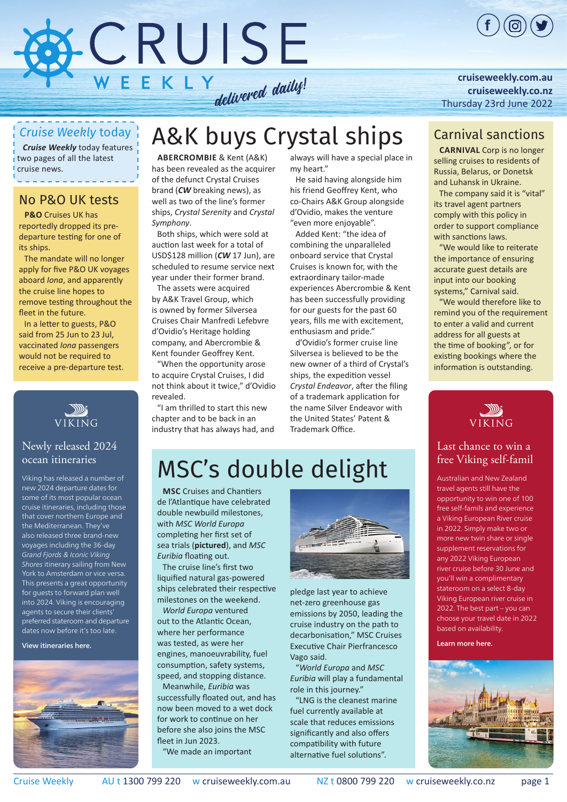

**[cruiseweekly.com.au](https://bpgclick.com/cw/2?Yz0xMjEmdGR1dG1fc291cmNlPXBkZiZ0ZHV0bV9tZWRpdW09cGRmJnRkdXRtX2NhbXBhaWduPUNXMjMwNjIyJnU9aHR0cDovL2NydWlzZXdlZWtseS5jb20uYXUv) [cruiseweekly.co.nz](https://bpgclick.com/cw/2?Yz0xNDUmdGR1dG1fc291cmNlPXBkZiZ0ZHV0bV9tZWRpdW09cGRmJnRkdXRtX2NhbXBhaWduPUNXMjMwNjIyJnU9aHR0cHM6Ly9jcnVpc2V3ZWVrbHkuY28ubnov)** [Thursday 23rd June 2022](https://bpgclick.com/cw/2?Yz0xMjEmdGR1dG1fc291cmNlPXBkZiZ0ZHV0bV9tZWRpdW09cGRmJnRkdXRtX2NhbXBhaWduPUNXMjMwNjIyJnU9aHR0cDovL2NydWlzZXdlZWtseS5jb20uYXUv)

### *Cruise Weekly* today

*Cruise Weekly* today features two pages of all the latest cruise news.

### No P&O UK tests

**p&o** Cruises UK has reportedly dropped its predeparture testing for one of its ships.

The mandate will no longer apply for five P&O UK voyages aboard *Iona*, and apparently the cruise line hopes to remove testing throughout the fleet in the future.

In a letter to guests, P&O said from 25 Jun to 23 Jul, vaccinated *Iona* passengers would not be required to receive a pre-departure test.



#### [Newly released 2024](https://bpgclick.com/cw/2?Yz0xNDUmdGR1dG1fc291cmNlPXBkZiZ0ZHV0bV9tZWRpdW09cGRmJnRkdXRtX2NhbXBhaWduPUNXMjMwNjIyJnU9aHR0cHM6Ly93d3cudmlraW5nY3J1aXNlcy5jb20uYXUvb2NlYW5z)  ocean itineraries

Viking has released a number of new 2024 departure dates for some of its most popular ocean cruise itineraries, including those that cover northern Europe and the Mediterranean. They've also released three brand-new voyages including the 36-day Grand Fjords & Iconic Viking Shores itinerary sailing from New York to Amsterdam or vice versa. This presents a great opportunity for guests to forward plan well into 2024. Viking is encouraging agents to secure their clients' preferred stateroom and departure dates now before it's too late.

View itineraries here.



# A&K buys Crystal ships

**Abercrombie** & Kent (A&K) has been revealed as the acquirer of the defunct Crystal Cruises brand (*CW* breaking news), as well as two of the line's former ships, *Crystal Serenity* and *Crystal Symphony*.

Both ships, which were sold at auction last week for a total of USD\$128 million (*CW* [17 Jun\)](https://bpgclick.com/cw/2?Yz0xOTUmdGR1dG1fc291cmNlPXBkZiZ0ZHV0bV9tZWRpdW09cGRmJnRkdXRtX2NhbXBhaWduPUNXMjMwNjIyJnU9aHR0cHM6Ly9pc3N1ZXMuY3J1aXNld2Vla2x5LmNvbS5hdS8yMDIyL0p1bjIyL2N3MTcwNjIyLnBkZg==), are scheduled to resume service next year under their former brand.

The assets were acquired by A&K Travel Group, which is owned by former Silversea Cruises Chair Manfredi Lefebvre d'Ovidio's Heritage holding company, and Abercrombie & Kent founder Geoffrey Kent.

"When the opportunity arose to acquire Crystal Cruises, I did not think about it twice," d'Ovidio revealed.

"I am thrilled to start this new chapter and to be back in an industry that has always had, and always will have a special place in my heart."

He said having alongside him his friend Geoffrey Kent, who co-Chairs A&K Group alongside d'Ovidio, makes the venture "even more enjoyable".

Added Kent: "the idea of combining the unparalleled onboard service that Crystal Cruises is known for, with the extraordinary tailor-made experiences Abercrombie & Kent has been successfully providing for our guests for the past 60 years, fills me with excitement, enthusiasm and pride."

d'Ovidio's former cruise line Silversea is believed to be the new owner of a third of Crystal's ships, the expedition vessel *Crystal Endeavor*, after the filing of a trademark application for the name Silver Endeavor with the United States' Patent & Trademark Office.

### Carnival sanctions

**Carnival** Corp is no longer selling cruises to residents of Russia, Belarus, or Donetsk and Luhansk in Ukraine.

The company said it is "vital" its travel agent partners comply with this policy in order to support compliance with sanctions laws.

"We would like to reiterate the importance of ensuring accurate guest details are input into our booking systems," Carnival said.

"We would therefore like to remind you of the requirement to enter a valid and current address for all guests at the time of booking", or for existing bookings where the information is outstanding.



#### [Last chance to win a](https://bpgclick.com/cw/2?Yz0xMyZ0ZHV0bV9zb3VyY2U9cGRmJnRkdXRtX21lZGl1bT1wZGYmdGR1dG1fY2FtcGFpZ249Q1cyMzA2MjImdT1odHRwczovL2RyaXZlLmdvb2dsZS5jb20vZmlsZS9kLzF0cDJ4M1d0ODc4ZWNWN3g1ZFFsVFlmQ2EwdThvcUloSy92aWV3P3VzcD1zaGFyaW5n)  free Viking self-famil

Australian and New Zealand travel agents still have the opportunity to win one of 100 free self-famils and experience a Viking European River cruise in 2022. Simply make two or more new twin share or single supplement reservations for any 2022 Viking European river cruise before 30 June and you'll win a complimentary stateroom on a select 8-day Viking European river cruise in 2022. The best part – you can choose your travel date in 2022 based on availability.

Learn more here.



# MSC's double delight

**MSC** Cruises and Chantiers de l'Atlantique have celebrated double newbuild milestones, with *MSC World Europa* completing her first set of sea trials (**pictured**), and *MSC Euribia* floating out.

The cruise line's first two liquified natural gas-powered ships celebrated their respective milestones on the weekend.

*World Europa* ventured out to the Atlantic Ocean, where her performance was tested, as were her engines, manoeuvrability, fuel consumption, safety systems, speed, and stopping distance. Meanwhile, *Euribia* was successfully floated out, and has

now been moved to a wet dock for work to continue on her before she also joins the MSC fleet in Jun 2023.

"We made an important



pledge last year to achieve net-zero greenhouse gas emissions by 2050, leading the cruise industry on the path to decarbonisation," MSC Cruises Executive Chair Pierfrancesco Vago said.

"*World Europa* and *MSC Euribia* will play a fundamental role in this journey."

"LNG is the cleanest marine fuel currently available at scale that reduces emissions significantly and also offers compatibility with future alternative fuel solutions".